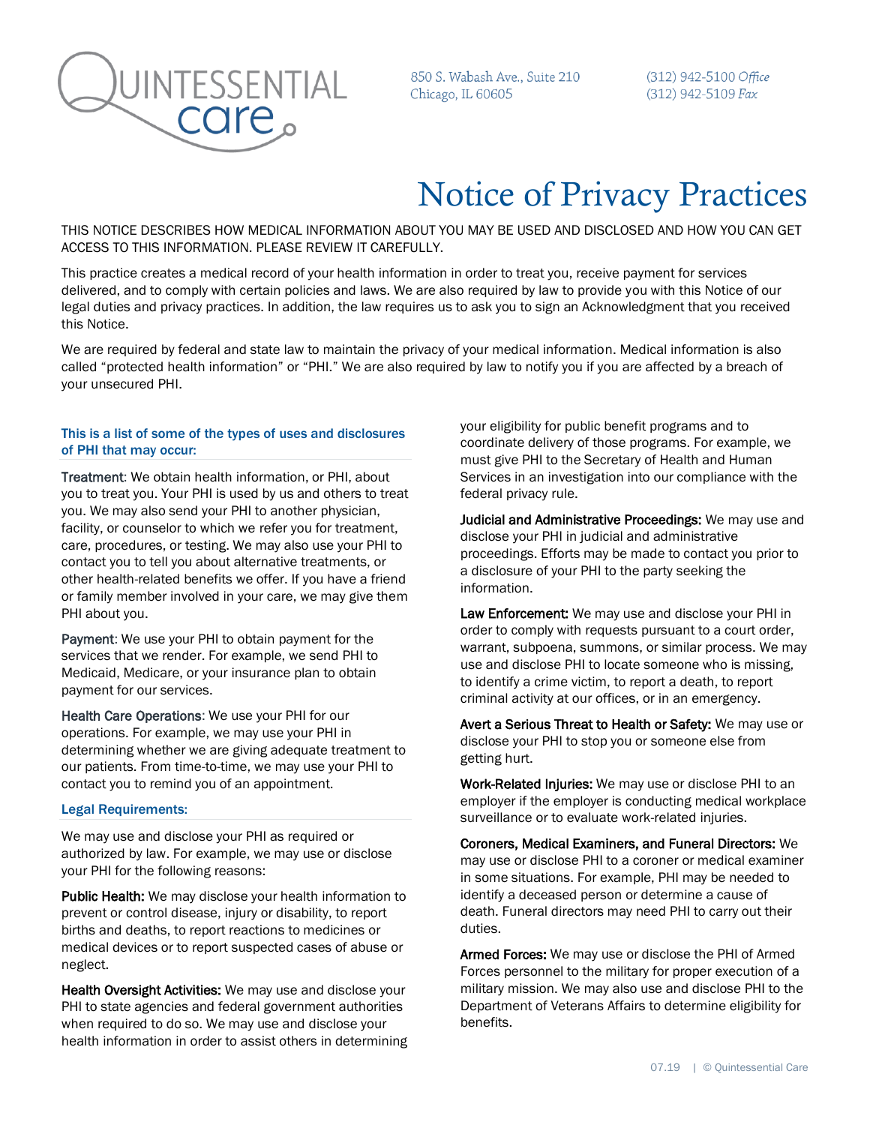

850 S. Wabash Ave., Suite 210 Chicago, IL 60605

(312) 942-5100 Office (312) 942-5109 Fax

# Notice of Privacy Practices

THIS NOTICE DESCRIBES HOW MEDICAL INFORMATION ABOUT YOU MAY BE USED AND DISCLOSED AND HOW YOU CAN GET ACCESS TO THIS INFORMATION. PLEASE REVIEW IT CAREFULLY.

This practice creates a medical record of your health information in order to treat you, receive payment for services delivered, and to comply with certain policies and laws. We are also required by law to provide you with this Notice of our legal duties and privacy practices. In addition, the law requires us to ask you to sign an Acknowledgment that you received this Notice.

We are required by federal and state law to maintain the privacy of your medical information. Medical information is also called "protected health information" or "PHI." We are also required by law to notify you if you are affected by a breach of your unsecured PHI.

## This is a list of some of the types of uses and disclosures of PHI that may occur:

Treatment: We obtain health information, or PHI, about you to treat you. Your PHI is used by us and others to treat you. We may also send your PHI to another physician, facility, or counselor to which we refer you for treatment, care, procedures, or testing. We may also use your PHI to contact you to tell you about alternative treatments, or other health-related benefits we offer. If you have a friend or family member involved in your care, we may give them PHI about you.

Payment: We use your PHI to obtain payment for the services that we render. For example, we send PHI to Medicaid, Medicare, or your insurance plan to obtain payment for our services.

Health Care Operations: We use your PHI for our operations. For example, we may use your PHI in determining whether we are giving adequate treatment to our patients. From time-to-time, we may use your PHI to contact you to remind you of an appointment.

### Legal Requirements:

We may use and disclose your PHI as required or authorized by law. For example, we may use or disclose your PHI for the following reasons:

Public Health: We may disclose your health information to prevent or control disease, injury or disability, to report births and deaths, to report reactions to medicines or medical devices or to report suspected cases of abuse or neglect.

Health Oversight Activities: We may use and disclose your PHI to state agencies and federal government authorities when required to do so. We may use and disclose your health information in order to assist others in determining your eligibility for public benefit programs and to coordinate delivery of those programs. For example, we must give PHI to the Secretary of Health and Human Services in an investigation into our compliance with the federal privacy rule.

Judicial and Administrative Proceedings: We may use and disclose your PHI in judicial and administrative proceedings. Efforts may be made to contact you prior to a disclosure of your PHI to the party seeking the information.

Law Enforcement: We may use and disclose your PHI in order to comply with requests pursuant to a court order, warrant, subpoena, summons, or similar process. We may use and disclose PHI to locate someone who is missing, to identify a crime victim, to report a death, to report criminal activity at our offices, or in an emergency.

Avert a Serious Threat to Health or Safety: We may use or disclose your PHI to stop you or someone else from getting hurt.

Work-Related Injuries: We may use or disclose PHI to an employer if the employer is conducting medical workplace surveillance or to evaluate work-related injuries.

Coroners, Medical Examiners, and Funeral Directors: We may use or disclose PHI to a coroner or medical examiner in some situations. For example, PHI may be needed to identify a deceased person or determine a cause of death. Funeral directors may need PHI to carry out their duties.

Armed Forces: We may use or disclose the PHI of Armed Forces personnel to the military for proper execution of a military mission. We may also use and disclose PHI to the Department of Veterans Affairs to determine eligibility for benefits.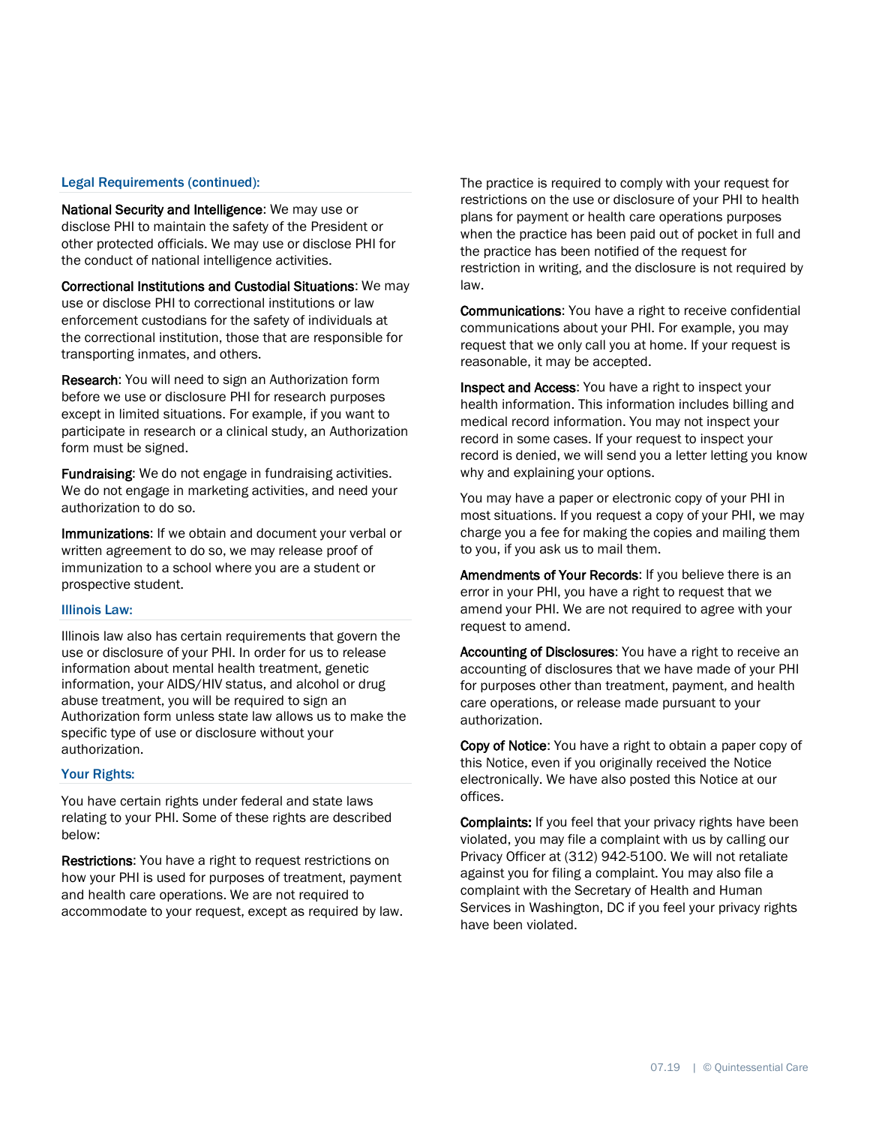### Legal Requirements (continued):

National Security and Intelligence: We may use or disclose PHI to maintain the safety of the President or other protected officials. We may use or disclose PHI for the conduct of national intelligence activities.

Correctional Institutions and Custodial Situations: We may use or disclose PHI to correctional institutions or law enforcement custodians for the safety of individuals at the correctional institution, those that are responsible for transporting inmates, and others.

Research: You will need to sign an Authorization form before we use or disclosure PHI for research purposes except in limited situations. For example, if you want to participate in research or a clinical study, an Authorization form must be signed.

Fundraising: We do not engage in fundraising activities. We do not engage in marketing activities, and need your authorization to do so.

Immunizations: If we obtain and document your verbal or written agreement to do so, we may release proof of immunization to a school where you are a student or prospective student.

## Illinois Law:

Illinois law also has certain requirements that govern the use or disclosure of your PHI. In order for us to release information about mental health treatment, genetic information, your AIDS/HIV status, and alcohol or drug abuse treatment, you will be required to sign an Authorization form unless state law allows us to make the specific type of use or disclosure without your authorization.

#### Your Rights:

You have certain rights under federal and state laws relating to your PHI. Some of these rights are described below:

Restrictions: You have a right to request restrictions on how your PHI is used for purposes of treatment, payment and health care operations. We are not required to accommodate to your request, except as required by law. The practice is required to comply with your request for restrictions on the use or disclosure of your PHI to health plans for payment or health care operations purposes when the practice has been paid out of pocket in full and the practice has been notified of the request for restriction in writing, and the disclosure is not required by law.

**Communications:** You have a right to receive confidential communications about your PHI. For example, you may request that we only call you at home. If your request is reasonable, it may be accepted.

Inspect and Access: You have a right to inspect your health information. This information includes billing and medical record information. You may not inspect your record in some cases. If your request to inspect your record is denied, we will send you a letter letting you know why and explaining your options.

You may have a paper or electronic copy of your PHI in most situations. If you request a copy of your PHI, we may charge you a fee for making the copies and mailing them to you, if you ask us to mail them.

Amendments of Your Records: If you believe there is an error in your PHI, you have a right to request that we amend your PHI. We are not required to agree with your request to amend.

Accounting of Disclosures: You have a right to receive an accounting of disclosures that we have made of your PHI for purposes other than treatment, payment, and health care operations, or release made pursuant to your authorization.

Copy of Notice: You have a right to obtain a paper copy of this Notice, even if you originally received the Notice electronically. We have also posted this Notice at our offices.

Complaints: If you feel that your privacy rights have been violated, you may file a complaint with us by calling our Privacy Officer at (312) 942-5100. We will not retaliate against you for filing a complaint. You may also file a complaint with the Secretary of Health and Human Services in Washington, DC if you feel your privacy rights have been violated.